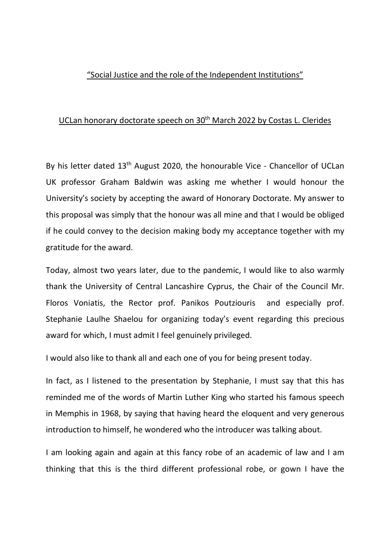## "Social Justice and the role of the Independent Institutions"

## UCLan honorary doctorate speech on 30<sup>th</sup> March 2022 by Costas L. Clerides

By his letter dated 13<sup>th</sup> August 2020, the honourable Vice - Chancellor of UCLan UK professor Graham Baldwin was asking me whether I would honour the University's society by accepting the award of Honorary Doctorate. My answer to this proposal was simply that the honour was all mine and that I would be obliged if he could convey to the decision making body my acceptance together with my gratitude for the award.

Today, almost two years later, due to the pandemic, I would like to also warmly thank the University of Central Lancashire Cyprus, the Chair of the Council Mr. Floros Voniatis, the Rector prof. Panikos Poutziouris and especially prof. Stephanie Laulhe Shaelou for organizing today's event regarding this precious award for which, I must admit I feel genuinely privileged.

I would also like to thank all and each one of you for being present today.

In fact, as I listened to the presentation by Stephanie, I must say that this has reminded me of the words of Martin Luther King who started his famous speech in Memphis in 1968, by saying that having heard the eloquent and very generous introduction to himself, he wondered who the introducer was talking about.

I am looking again and again at this fancy robe of an academic of law and I am thinking that this is the third different professional robe, or gown I have the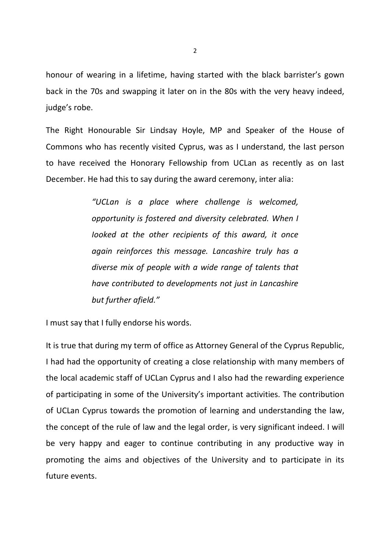honour of wearing in a lifetime, having started with the black barrister's gown back in the 70s and swapping it later on in the 80s with the very heavy indeed, judge's robe.

The Right Honourable Sir Lindsay Hoyle, MP and Speaker of the House of Commons who has recently visited Cyprus, was as I understand, the last person to have received the Honorary Fellowship from UCLan as recently as on last December. He had this to say during the award ceremony, inter alia:

> "UCLan is a place where challenge is welcomed, opportunity is fostered and diversity celebrated. When I Iooked at the other recipients of this award, it once again reinforces this message. Lancashire truly has a diverse mix of people with a wide range of talents that have contributed to developments not just in Lancashire but further afield."

I must say that I fully endorse his words.

It is true that during my term of office as Attorney General of the Cyprus Republic, I had had the opportunity of creating a close relationship with many members of the local academic staff of UCLan Cyprus and I also had the rewarding experience of participating in some of the University's important activities. The contribution of UCLan Cyprus towards the promotion of learning and understanding the law, the concept of the rule of law and the legal order, is very significant indeed. I will be very happy and eager to continue contributing in any productive way in promoting the aims and objectives of the University and to participate in its future events.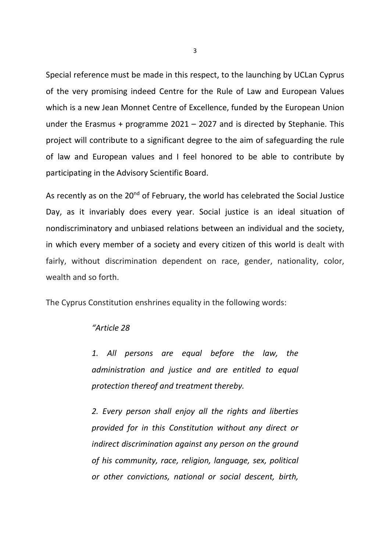Special reference must be made in this respect, to the launching by UCLan Cyprus of the very promising indeed Centre for the Rule of Law and European Values which is a new Jean Monnet Centre of Excellence, funded by the European Union under the Erasmus + programme 2021 – 2027 and is directed by Stephanie. This project will contribute to a significant degree to the aim of safeguarding the rule of law and European values and I feel honored to be able to contribute by participating in the Advisory Scientific Board.

As recently as on the 20<sup>nd</sup> of February, the world has celebrated the Social Justice Day, as it invariably does every year. Social justice is an ideal situation of nondiscriminatory and unbiased relations between an individual and the society, in which every member of a society and every citizen of this world is dealt with fairly, without discrimination dependent on race, gender, nationality, color, wealth and so forth.

The Cyprus Constitution enshrines equality in the following words:

## "Article 28

1. All persons are equal before the law, the administration and justice and are entitled to equal protection thereof and treatment thereby.

2. Every person shall enjoy all the rights and liberties provided for in this Constitution without any direct or indirect discrimination against any person on the ground of his community, race, religion, language, sex, political or other convictions, national or social descent, birth,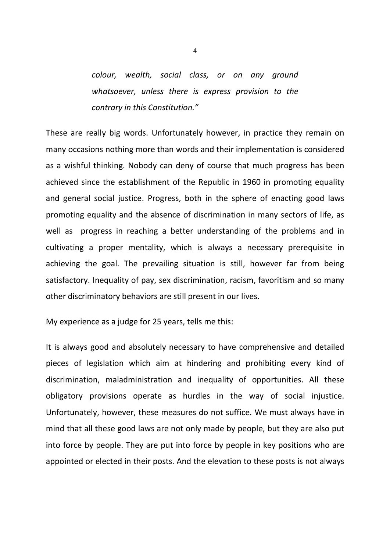colour, wealth, social class, or on any ground whatsoever, unless there is express provision to the contrary in this Constitution."

These are really big words. Unfortunately however, in practice they remain on many occasions nothing more than words and their implementation is considered as a wishful thinking. Nobody can deny of course that much progress has been achieved since the establishment of the Republic in 1960 in promoting equality and general social justice. Progress, both in the sphere of enacting good laws promoting equality and the absence of discrimination in many sectors of life, as well as progress in reaching a better understanding of the problems and in cultivating a proper mentality, which is always a necessary prerequisite in achieving the goal. The prevailing situation is still, however far from being satisfactory. Inequality of pay, sex discrimination, racism, favoritism and so many other discriminatory behaviors are still present in our lives.

My experience as a judge for 25 years, tells me this:

It is always good and absolutely necessary to have comprehensive and detailed pieces of legislation which aim at hindering and prohibiting every kind of discrimination, maladministration and inequality of opportunities. All these obligatory provisions operate as hurdles in the way of social injustice. Unfortunately, however, these measures do not suffice. We must always have in mind that all these good laws are not only made by people, but they are also put into force by people. They are put into force by people in key positions who are appointed or elected in their posts. And the elevation to these posts is not always

4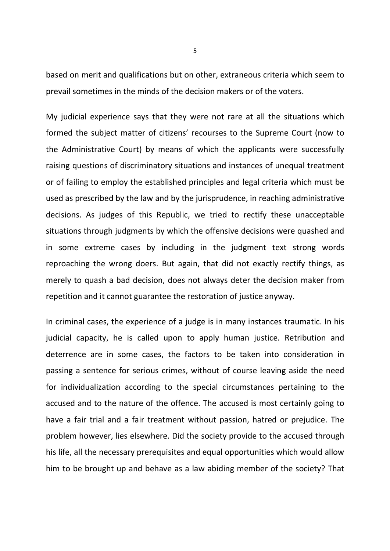based on merit and qualifications but on other, extraneous criteria which seem to prevail sometimes in the minds of the decision makers or of the voters.

My judicial experience says that they were not rare at all the situations which formed the subject matter of citizens' recourses to the Supreme Court (now to the Administrative Court) by means of which the applicants were successfully raising questions of discriminatory situations and instances of unequal treatment or of failing to employ the established principles and legal criteria which must be used as prescribed by the law and by the jurisprudence, in reaching administrative decisions. As judges of this Republic, we tried to rectify these unacceptable situations through judgments by which the offensive decisions were quashed and in some extreme cases by including in the judgment text strong words reproaching the wrong doers. But again, that did not exactly rectify things, as merely to quash a bad decision, does not always deter the decision maker from repetition and it cannot guarantee the restoration of justice anyway.

In criminal cases, the experience of a judge is in many instances traumatic. In his judicial capacity, he is called upon to apply human justice. Retribution and deterrence are in some cases, the factors to be taken into consideration in passing a sentence for serious crimes, without of course leaving aside the need for individualization according to the special circumstances pertaining to the accused and to the nature of the offence. The accused is most certainly going to have a fair trial and a fair treatment without passion, hatred or prejudice. The problem however, lies elsewhere. Did the society provide to the accused through his life, all the necessary prerequisites and equal opportunities which would allow him to be brought up and behave as a law abiding member of the society? That

5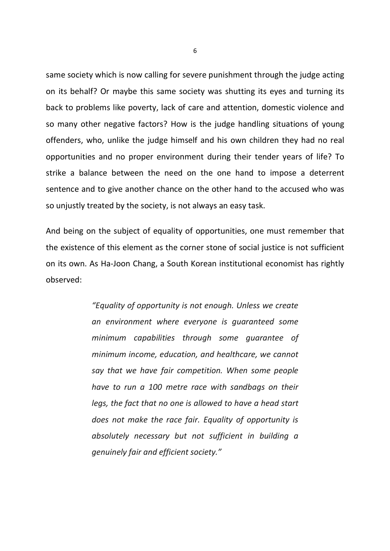same society which is now calling for severe punishment through the judge acting on its behalf? Or maybe this same society was shutting its eyes and turning its back to problems like poverty, lack of care and attention, domestic violence and so many other negative factors? How is the judge handling situations of young offenders, who, unlike the judge himself and his own children they had no real opportunities and no proper environment during their tender years of life? To strike a balance between the need on the one hand to impose a deterrent sentence and to give another chance on the other hand to the accused who was so unjustly treated by the society, is not always an easy task.

And being on the subject of equality of opportunities, one must remember that the existence of this element as the corner stone of social justice is not sufficient on its own. As Ha-Joon Chang, a South Korean institutional economist has rightly observed:

> "Equality of opportunity is not enough. Unless we create an environment where everyone is guaranteed some minimum capabilities through some guarantee of minimum income, education, and healthcare, we cannot say that we have fair competition. When some people have to run a 100 metre race with sandbags on their legs, the fact that no one is allowed to have a head start does not make the race fair. Equality of opportunity is absolutely necessary but not sufficient in building a genuinely fair and efficient society."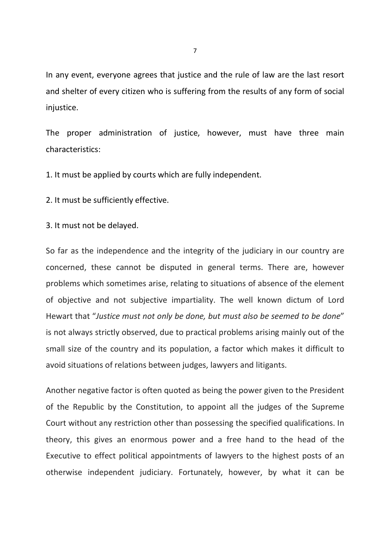In any event, everyone agrees that justice and the rule of law are the last resort and shelter of every citizen who is suffering from the results of any form of social injustice.

The proper administration of justice, however, must have three main characteristics:

1. It must be applied by courts which are fully independent.

2. It must be sufficiently effective.

3. It must not be delayed.

So far as the independence and the integrity of the judiciary in our country are concerned, these cannot be disputed in general terms. There are, however problems which sometimes arise, relating to situations of absence of the element of objective and not subjective impartiality. The well known dictum of Lord Hewart that "Justice must not only be done, but must also be seemed to be done" is not always strictly observed, due to practical problems arising mainly out of the small size of the country and its population, a factor which makes it difficult to avoid situations of relations between judges, lawyers and litigants.

Another negative factor is often quoted as being the power given to the President of the Republic by the Constitution, to appoint all the judges of the Supreme Court without any restriction other than possessing the specified qualifications. In theory, this gives an enormous power and a free hand to the head of the Executive to effect political appointments of lawyers to the highest posts of an otherwise independent judiciary. Fortunately, however, by what it can be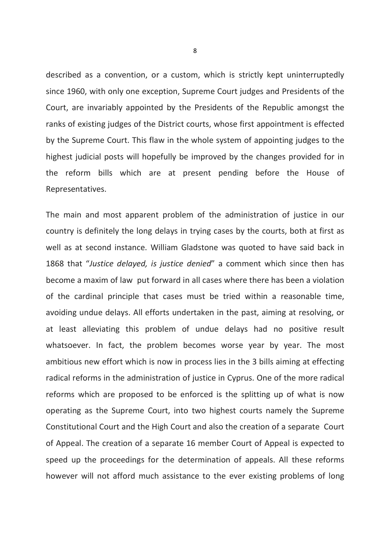described as a convention, or a custom, which is strictly kept uninterruptedly since 1960, with only one exception, Supreme Court judges and Presidents of the Court, are invariably appointed by the Presidents of the Republic amongst the ranks of existing judges of the District courts, whose first appointment is effected by the Supreme Court. This flaw in the whole system of appointing judges to the highest judicial posts will hopefully be improved by the changes provided for in the reform bills which are at present pending before the House of Representatives.

The main and most apparent problem of the administration of justice in our country is definitely the long delays in trying cases by the courts, both at first as well as at second instance. William Gladstone was quoted to have said back in 1868 that "Justice delayed, is justice denied" a comment which since then has become a maxim of law put forward in all cases where there has been a violation of the cardinal principle that cases must be tried within a reasonable time, avoiding undue delays. All efforts undertaken in the past, aiming at resolving, or at least alleviating this problem of undue delays had no positive result whatsoever. In fact, the problem becomes worse year by year. The most ambitious new effort which is now in process lies in the 3 bills aiming at effecting radical reforms in the administration of justice in Cyprus. One of the more radical reforms which are proposed to be enforced is the splitting up of what is now operating as the Supreme Court, into two highest courts namely the Supreme Constitutional Court and the High Court and also the creation of a separate Court of Appeal. The creation of a separate 16 member Court of Appeal is expected to speed up the proceedings for the determination of appeals. All these reforms however will not afford much assistance to the ever existing problems of long

8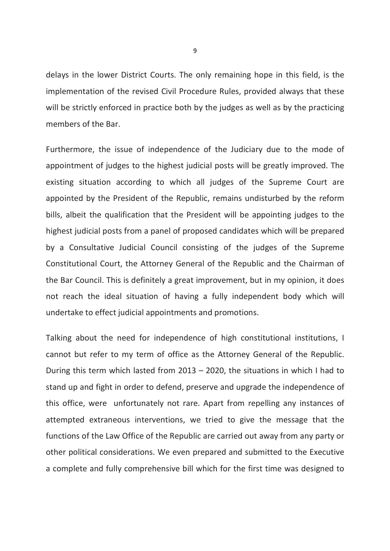delays in the lower District Courts. The only remaining hope in this field, is the implementation of the revised Civil Procedure Rules, provided always that these will be strictly enforced in practice both by the judges as well as by the practicing members of the Bar.

Furthermore, the issue of independence of the Judiciary due to the mode of appointment of judges to the highest judicial posts will be greatly improved. The existing situation according to which all judges of the Supreme Court are appointed by the President of the Republic, remains undisturbed by the reform bills, albeit the qualification that the President will be appointing judges to the highest judicial posts from a panel of proposed candidates which will be prepared by a Consultative Judicial Council consisting of the judges of the Supreme Constitutional Court, the Attorney General of the Republic and the Chairman of the Bar Council. This is definitely a great improvement, but in my opinion, it does not reach the ideal situation of having a fully independent body which will undertake to effect judicial appointments and promotions.

Talking about the need for independence of high constitutional institutions, I cannot but refer to my term of office as the Attorney General of the Republic. During this term which lasted from 2013 – 2020, the situations in which I had to stand up and fight in order to defend, preserve and upgrade the independence of this office, were unfortunately not rare. Apart from repelling any instances of attempted extraneous interventions, we tried to give the message that the functions of the Law Office of the Republic are carried out away from any party or other political considerations. We even prepared and submitted to the Executive a complete and fully comprehensive bill which for the first time was designed to